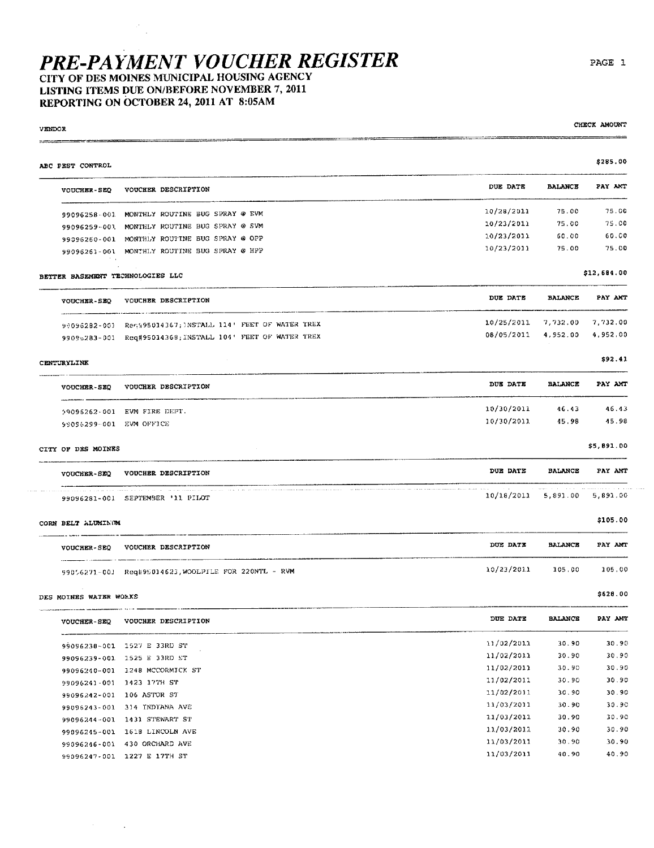### LISTING ITEMS DUE ON/BEFORE NOVEMBER 7, 2011 REPORTING ON OCTOBER 24, 2011 AT 8:05AM

÷.

**VENDOR** 

| ABC PEST CONTROL        |                                                                                                   |                              |                | \$285.00    |
|-------------------------|---------------------------------------------------------------------------------------------------|------------------------------|----------------|-------------|
| <b>VOUCHER-SEQ</b>      | VOUCHER DESCRIPTION                                                                               | DUE DATE                     | <b>BALANCE</b> | PAY AMT     |
|                         | 99096258-001 MONTHLY ROUTINE BUG SPRAY @ EVM                                                      | 10/28/2011                   | 75.00          | 75.00       |
|                         | 99096259-001 MONTHLY ROUTINE BUG SPRAY @ SVM                                                      | 10/23/2011                   | 75.00          | 75.00       |
|                         | 99096260-001 MONTHLY ROUTINE BUG SPRAY @ OPP                                                      | 10/23/2011                   | 60.00          | 60.00       |
|                         | 99096261-001 MONTHLY ROUTINE BUG SPRAY @ HPP                                                      | 10/23/2011                   | 75.00          | 75.00       |
|                         | BETTER BASEMENT TECHNOLOGIES LLC                                                                  |                              |                | \$12,684.00 |
| VOUCHER-SEQ             | VOUCHER DESCRIPTION                                                                               | DUE DATE                     | <b>BALANCE</b> | PAY AMT     |
|                         | 99096282-001 Rena95014367; INSTALL 114' FEET OF WATER TREX                                        | $10/25/2011$ 7, 732.00       |                | 7,732.00    |
|                         | 9909b283-001 Req#95014368; INSTALL 104' FEET OF WATER TREX                                        | 08/05/2011                   | 4,952.00       | 4,952,00    |
| <b>CENTURYLINK</b>      |                                                                                                   |                              |                | \$92.41     |
| <b>VOUCHER-SEQ</b>      | VOUCHER DESCRIPTION                                                                               | DUE DATE                     | <b>BALANCE</b> | PAY AMT     |
|                         | 99096262-001 EVM FIRE DEPT.                                                                       | 10/30/2011                   | 46.43          | 46.43       |
| 99096299-001 EVM OFFICE |                                                                                                   | 10/30/2011                   | 45.98          | 45.98       |
| CITY OF DES MOINES      |                                                                                                   |                              |                | \$5,891.00  |
|                         | VOUCHER-SEQ VOUCHER DESCRIPTION                                                                   | <b>DUE DATE</b>              | <b>BALANCE</b> | PAY AMT     |
|                         | and an experimental communication of the control of the state<br>99096281-001 SEPTEMBER '11 PILOT | 10/18/2011 5,891.00 5,891.00 |                |             |
| CORN BELT ALUMINUM      |                                                                                                   |                              |                | \$105.00    |
|                         | VOUCHER-SEQ VOUCHER DESCRIPTION                                                                   | DUE DATE                     | <b>BALANCE</b> | PAY AMT     |
|                         | 99056271-001 Req#95014623, WOOLPILE FOR 220NTL - RVM                                              | 10/23/2011                   | 105.00         | 105.00      |
| DES MOINES WATER WORKS  |                                                                                                   |                              |                | \$628.00    |
| <b>VOUCHER-SEQ</b>      | VOUCHER DESCRIPTION                                                                               | DUE DATE                     | <b>BALANCE</b> | PAY AMT     |
|                         | 99096238-001 1527 E 33RD ST                                                                       | 11/02/2011                   | 30.90          | 30.90       |
|                         | 99096239-001 1525 E 33RD ST                                                                       | 11/02/2011                   | 30.90          | 30.90       |
|                         | 99096240-001 1248 MCCORMICK ST                                                                    | 11/02/2011                   | 30.90          | 30.90       |
|                         | 99096241-001 1423 17TH ST                                                                         | 11/02/2011                   | 30.90          | 30.90       |
|                         | 99096242-001 106 ASTOR ST                                                                         | 11/02/2011                   | 30.90          | 30.90       |
|                         | 99096243-001 314 INDIANA AVE                                                                      | 11/03/2011                   | 30.90          | 30.90       |
|                         | 99096244-001 1431 STEWART ST                                                                      | 11/03/2011                   | 30.90          | 30.90       |
|                         | 99096245-001 1618 LINCOLN AVE                                                                     | 11/03/2011                   | 30.90          | 30.90       |
|                         | 99096246-001 430 ORCHARD AVE                                                                      | 11/03/2011                   | 30.90          | 30.90       |
|                         | 99096247.001 1227 E 17TH ST                                                                       | 11/03/2011                   | 40.90          | 40.90       |

99096247-001 1227 E 17TH ST

CHECK AMOUNT

المتمالي المتار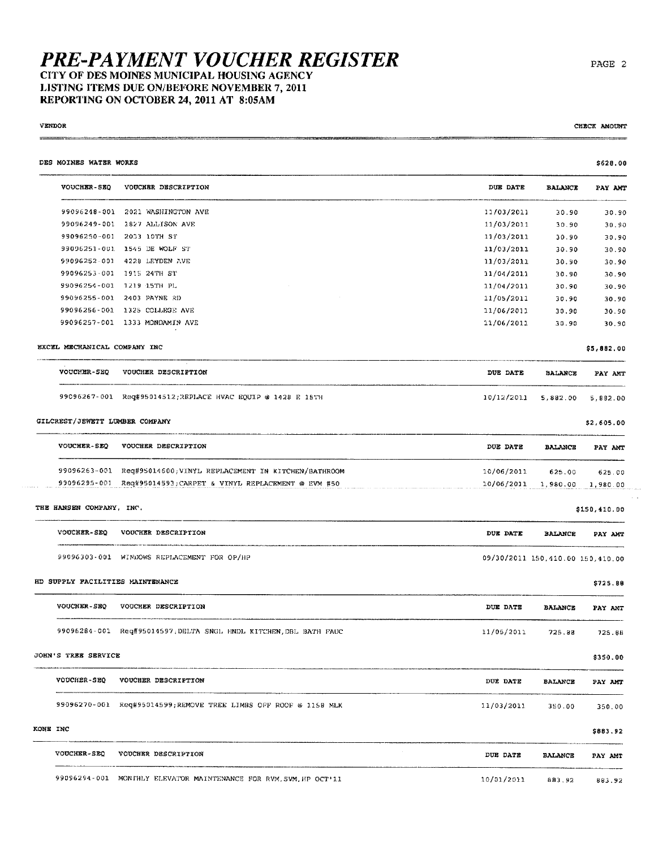### **PRE-PAYMENT VOUCHER REGISTER** CITY OF DES MOINES MUNICIPAL HOUSING AGENCY

#### LISTING ITEMS DUE ON/BEFORE NOVEMBER 7, 2011 REPORTING ON OCTOBER 24, 2011 AT 8:05AM

#### **VENDOR**

CHECK AMOUNT

an cana  $\sim$   $\sim$ 

| DES MOINES WATER WORKS         |                                                                   |            |                                  | \$628.00     |
|--------------------------------|-------------------------------------------------------------------|------------|----------------------------------|--------------|
| <b>VOUCHER-SEQ</b>             | VOUCHER DESCRIPTION                                               | DUE DATE   | <b>BALANCE</b>                   | PAY AMT      |
|                                | 99096248-001 2021 WASHINGTON AVE                                  | 11/03/2011 | 30.90                            | 30.90        |
|                                | 99096249-001 1827 ALLISON AVE                                     | 11/03/2011 | 30.90                            | 30.90        |
|                                | 99096250-001 2033 10TH ST                                         | 11/03/2011 | 30.90                            | 30.90        |
|                                | 99096251-001 1545 DE WOLF ST                                      | 11/03/2011 | 30.90                            | 30.90        |
|                                | 99096252-001 4228 LEYDEN AVE                                      | 11/03/2011 | 30.90                            | 30.90        |
|                                | 99096253-001 1915 24TH ST                                         | 11/04/2011 | 30.90                            | 30.90        |
|                                | 99096254-001 1219 15TH PL                                         | 11/04/2011 | 30.90                            | 30.90        |
|                                | 99096255-001 2403 PAYNE RD                                        | 11/05/2011 | 30.90                            | 30.90        |
|                                | 99096256-001 1325 COLLEGE AVE                                     | 11/06/2011 | 30.90                            | 30.90        |
|                                | 99096257-001 1333 MONDAMIN AVE                                    | 11/06/2011 | 30.90                            | 30.90        |
| EXCEL MECHANICAL COMPANY INC   |                                                                   |            |                                  | \$5,882.00   |
| VOUCHER-SEQ                    | VOUCHER DESCRIPTION                                               | DUE DATE   | BALANCE                          | PAY AMT      |
|                                | 99096267-001 Req#95014512;REPLACE HVAC EQUIP @ 1428 E 15TH        | 10/12/2011 | 5,882.00                         | 5,882.00     |
| GILCREST/JEWETT LUMBER COMPANY |                                                                   |            |                                  | \$2,605.00   |
| <b>VOUCHER-SEQ</b>             | VOUCHER DESCRIPTION                                               | DUE DATE   | <b>BALANCE</b>                   | PAY AMT      |
|                                | 99096263-001 Req#95014600; VINYL REPLACEMENT IN KITCHEN/BATHROOM  | 10/06/2011 | 625.00                           | 625.00       |
|                                | 99096295-001 Req#95014593; CARPET & VINYL REPLACEMENT @ EVM #50   |            | 10/06/2011 1,980.00              | 1,980.00     |
| THE HANSEN COMPANY, INC.       |                                                                   |            |                                  | \$150,410.00 |
|                                | VOUCHER-SEQ VOUCHER DESCRIPTION                                   | DUE DATE   | <b>BALANCE</b>                   | PAY ANT      |
|                                | 99096303-001 WINDOWS REPLACEMENT FOR OP/HP                        |            | 09/30/2011 150,410.00 150,410.00 |              |
|                                | HD SUPPLY FACILITIES MAINTENANCE                                  |            |                                  | \$725.88     |
| <b>VOUCHER-SEQ</b>             | VOUCHER DESCRIPTION                                               | DUE DATE   | <b>BALANCE</b>                   | PAY AMT      |
|                                | 99096284-001 Req#95014597, DELTA SNGL HNDL KITCHEN, DBL BATH FAUC | 11/05/2011 | 725.88                           | 725.88       |
| JOHN'S TREE SERVICE            |                                                                   |            |                                  | \$350.00     |
| VOUCHER-SEQ                    | VOUCHER DESCRIPTION                                               | DUE DATE   | BALANCE                          | PAY ANT      |
|                                | 99096270-001 Req#95014599;REMOVE TREE LIMBS OFF ROOF @ 1158 MLK   | 11/03/2011 | 350.00                           | 350.00       |
| KONE INC                       |                                                                   |            |                                  | \$883.92     |
| <b>VOUCHER-SEQ</b>             | VOUCHER DESCRIPTION                                               | DUE DATE   | <b>BALANCE</b>                   | PAY AMT      |
|                                | 99096294-001 MONTHLY ELEVATOR MAINTENANCE FOR RVM, SVM, HP OCT'11 | 10/01/2011 | 883.92                           | 883.92       |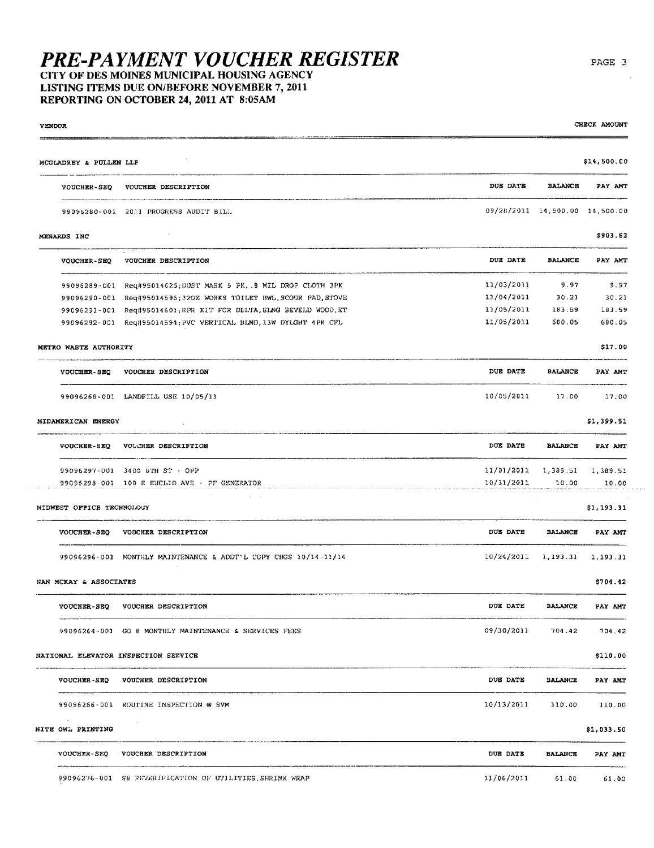# **PRE-PAYMENT VOUCHER REGISTER**<br>CITY OF DES MOINES MUNICIPAL HOUSING AGENCY

LISTING ITEMS DUE ON/BEFORE NOVEMBER 7, 2011 REPORTING ON OCTOBER 24, 2011 AT 8:05AM

**VENDOR** 

| MCGLADREY & PULLEN LLP      |                                                                   |                                    |                | \$14,500.00 |
|-----------------------------|-------------------------------------------------------------------|------------------------------------|----------------|-------------|
|                             | VOUCHER-SEQ VOUCHER DESCRIPTION                                   | DUE DATE                           | <b>BALANCE</b> | PAY AMT     |
|                             | 99096280-001 2011 PROGRESS AUDIT BILL                             | 09/28/2011 14,500.00 14,500.00     |                |             |
| MENARDS INC                 |                                                                   |                                    |                | \$903.82    |
| VOUCHER-SEQ                 | VOUCHER DESCRIPTION                                               | DUE DATE                           | <b>BALANCE</b> | PAY AMT     |
|                             | 99096289-001 Req#95014625:DUST MASK 5 PK, 8 MIL DROP CLOTH 3PK    | 11/03/2011                         | 9.97           | 9.97        |
|                             | 99096290-001 Reg#95014596;320Z WORKS TOILET BWL, SCOUR PAD, STOVE | 11/04/2011                         | 30.21          | 30.21       |
|                             | 99096291-001 Req#95014601;RPR KIT FOR DELTA, EING BEVELD WOOD, ET | 11/05/2011                         | 183.59         | 183.59      |
|                             | 99096292-001 Req#95014594; PVC VERTICAL BLND, 13W DYLGHT 4PK CFL  | 11/05/2011                         | 580.05         | 680.05      |
| METRO WASTE AUTHORITY       |                                                                   |                                    |                | \$17.00     |
| <b>VOUCHER-SEQ</b>          | VOUCHER DESCRIPTION                                               | DUE DATE                           | <b>BALANCE</b> | PAY AMT     |
|                             | 99096268-001 LANDFILL USE 10/05/11                                | 10/05/2011                         | 17.00          | 17,00       |
| MIDAMERICAN ENERGY          |                                                                   |                                    |                | \$1,399.51  |
|                             | VOUCHER-SEQ VOUCHER DESCRIPTION                                   | DUE DATE                           | <b>BALANCE</b> | PAY ANT     |
|                             | 99096297-001 3400 STH ST - OPP                                    | $11/01/2011$ $1,389.51$ $1,389.51$ |                |             |
|                             | 99095298-001 100 E EUCLID AVE - PF GENERATOR                      | 10/31/2011                         | 10.00          | 10.00       |
| MIDWEST OFFICE TECHNOLOGY   |                                                                   |                                    |                | \$1,193.31  |
|                             | VOUCHER-SEQ VOUCHER DESCRIPTION                                   | <b>DUE DATE</b>                    | <b>BALANCE</b> | PAY AMT     |
|                             | 99096296-001 MONTHLY MAINTENANCE & ADDT'L COPY CHGS 10/14-11/14   | $10/24/2011$ 1.193.31              |                | 1,193.31    |
| NAN MCKAY & ASSOCIATES      |                                                                   |                                    |                | \$704.42    |
| <b>VOUCHER-SEQ</b>          | VOUCHER DESCRIPTION                                               | DUE DATE                           | <b>BALANCE</b> | PAY AMT     |
|                             | 99096264-001 GO 8 MONTHLY MAINTENANCE & SERVICES FEES             | 09/30/2011                         | 704.42         | 704.42      |
|                             | NATIONAL ELEVATOR INSPECTION SERVICE                              |                                    |                | \$110.00    |
|                             | VOUCHER-SEQ VOUCHER DESCRIPTION                                   | DUE DATE                           | <b>BALANCE</b> | PAY AMT     |
|                             | 99096266-001 ROUTINE INSPECTION @ SVM                             | 10/13/2011                         | 110.00         | 110.00      |
| $\sim$<br>NITE OWL PRINTING | <b>Contract</b>                                                   |                                    |                | \$1,033.50  |
|                             | VOUCHER-SEQ VOUCHER DESCRIPTION                                   | DUE DATE                           | <b>BALANCE</b> | PAY AMT     |
|                             | 99096276-001 S8 REVERIFICATION OF UTILITIES, SHRINK WRAP          | 11/06/2011                         | 61.00          | 61.00       |
|                             |                                                                   |                                    |                |             |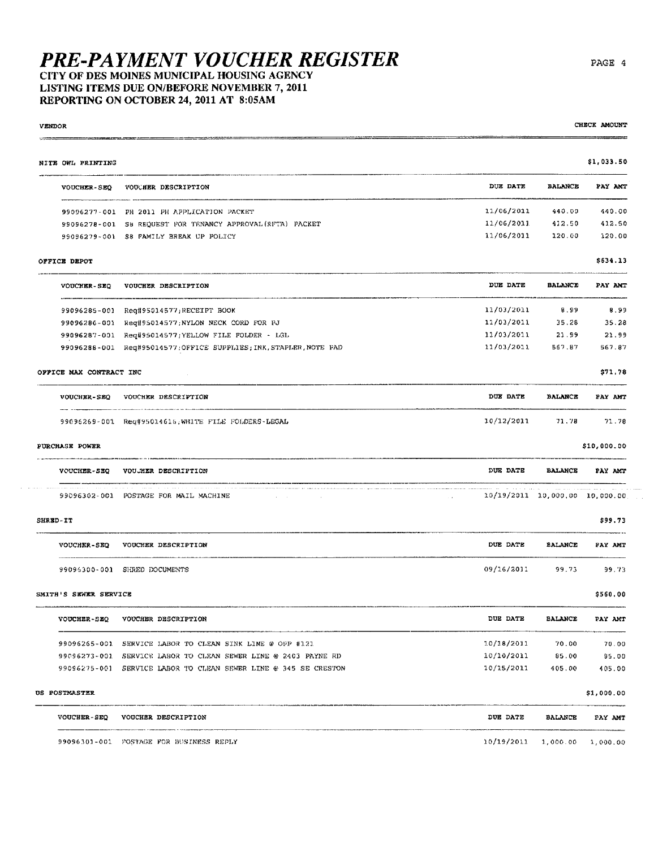CITY OF DES MOINES MUNICIPAL HOUSING AGENCY LISTING ITEMS DUE ON/BEFORE NOVEMBER 7, 2011 REPORTING ON OCTOBER 24, 2011 AT 8:05AM

| VENDOR   |                         |                                                                                                                                                           |                                |                | CHECK AMOUNT |
|----------|-------------------------|-----------------------------------------------------------------------------------------------------------------------------------------------------------|--------------------------------|----------------|--------------|
|          | NITE OWL PRINTING       |                                                                                                                                                           |                                |                | \$1,033.50   |
|          | <b>VOUCHER-SEQ</b>      | VOUCHER DESCRIPTION                                                                                                                                       | DUE DATE                       | <b>BALANCE</b> | PAY AMT      |
|          |                         | 99096277-001 PH 2011 PH APPLICATION PACKET                                                                                                                | 11/06/2011                     | 440.00         | 440.00       |
|          |                         | 99096278-001 S8 REQUEST FOR TENANCY APPROVAL (RFTA) PACKET                                                                                                | 11/06/2011                     | 412.50         | 412.50       |
|          |                         | 99096279-001 S8 FAMILY BREAK UP POLICY                                                                                                                    | 11/06/2011                     | 120.00         | 120.00       |
|          | OFFICE DEPOT            |                                                                                                                                                           |                                |                | \$634.13     |
|          | VOUCHER-SEQ             | VOUCHER DESCRIPTION                                                                                                                                       | DUE DATE                       | <b>BALANCE</b> | PAY ANT      |
|          |                         | 99096285-001 Req#95014577;RECEIPT BOOK                                                                                                                    | 11/03/2011                     | 8.99           | 8.99         |
|          |                         | 99096286-001 Req#95014577;NYLON NECK CORD FOR PJ                                                                                                          | 11/03/2011                     | 35.28          | 35.28        |
|          |                         | 99096287-001 Req#95014577; YELLOW FILE FOLDER - LGL                                                                                                       | 11/03/2011                     | 21.99          | 21.99        |
|          |                         | 99096288-001 Req#95014577;OFFICE SUPPLIES; INK, STAPLER, NOTE PAD                                                                                         | 11/03/2011                     | 567.87         | 567.87       |
|          | OFFICE MAX CONTRACT INC |                                                                                                                                                           |                                |                | \$71.78      |
|          | <b>VOUCHER-SEQ</b>      | VOUCHER DESCRIPTION                                                                                                                                       | DUE DATE                       | <b>BALANCE</b> | PAY AMT      |
|          |                         | 99096269-001 Req#95014616;WHITE FILE FOLDERS-LEGAL                                                                                                        | 10/12/2011                     | 71,78          | 71.78        |
|          | PURCHASE POWER          |                                                                                                                                                           |                                |                | \$10,000.00  |
|          | <b>VOUCHER-SEQ</b>      | VOUJHER DESCRIPTION                                                                                                                                       | DUE DATE                       | <b>BALANCE</b> | PAY AMT      |
|          |                         | The common transformation of the common common common construction proposed as a management of the common common<br>99096302-001 POSTAGE FOR MAIL MACHINE | 10/19/2011 10,000,00 10,000.00 |                |              |
| SHRED-IT |                         |                                                                                                                                                           |                                |                | \$99.73      |
|          | VOUCHER-SEQ             | VOUCHER DESCRIPTION                                                                                                                                       | DUE DATE                       | BALANCE        | PAY AMT      |
|          |                         | 99096300-001 SHRED DOCUMENTS                                                                                                                              | 09/16/2011                     | 99.73          | 99.73        |
|          | SMITH'S SEWER SERVICE   |                                                                                                                                                           |                                |                | \$560.00     |
|          | <b>VOUCHER-SEQ</b>      | VOUCHER DESCRIPTION                                                                                                                                       | DUE DATE                       | <b>BALANCE</b> | PAY AMT      |
|          |                         | 99096265-001 SERVICE LABOR TO CLEAN SINK LINE @ OPP #121                                                                                                  | 10/18/2011                     | 70.00          | 70.00        |
|          |                         | 99096273-001 SERVICE LABOR TO CLEAN SEWER LINE @ 2403 PAYNE RD                                                                                            | 10/10/2011                     | 85.00          | 85.00        |
|          |                         | 99096275-001 SERVICE LABOR TO CLEAN SEWER LINE @ 345 SE CRESTON                                                                                           | 10/15/2011                     | 405.00         | 405.00       |
|          | US POSTMASTER           |                                                                                                                                                           |                                |                | \$1,000.00   |
|          | VOUCHER-SEQ             | VOUCHER DESCRIPTION                                                                                                                                       | DUE DATE                       | <b>BALANCE</b> | PAY AMT      |
|          |                         | 99096301-001 POSTAGE FOR BUSINESS REPLY                                                                                                                   | 10/19/2011                     | 1,000.00       | 1,000.00     |

PAGE 4

 $\hat{\vec{r}}$  ,  $\hat{\vec{r}}$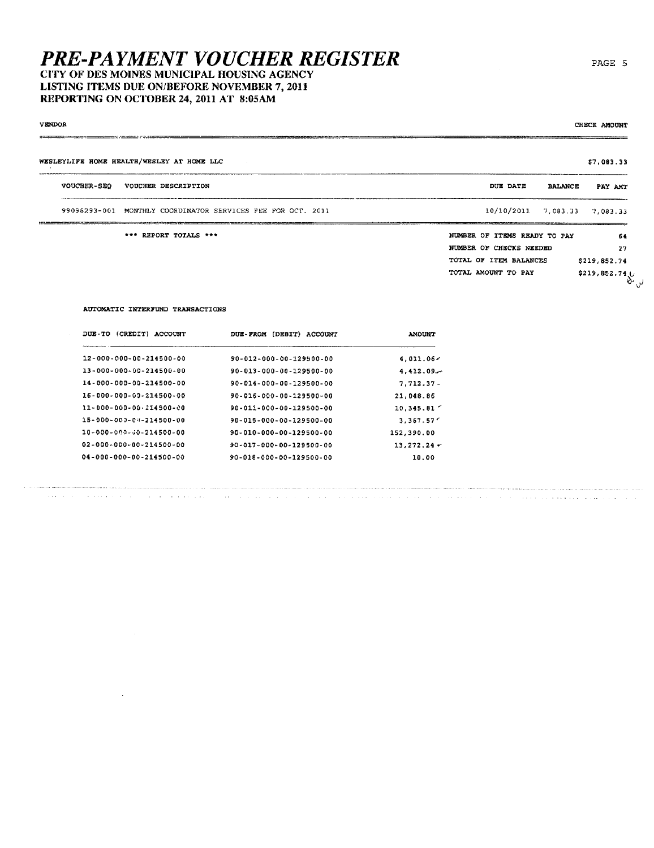LISTING ITEMS DUE ON/BEFORE NOVEMBER 7, 2011 REPORTING ON OCTOBER 24, 2011 AT 8:05AM

| VENDOR<br>_____________<br><b><i><u>Property and Contract Contract Contract Contract Contract Contract Contract Contract Contract Contract Contract Contract Contract Contract Contract Contract Contract Contract Contract Contract Contract Contract Contract</u></i></b> |             |                                                             |                              | CHECK AMOUNT                                         |
|-----------------------------------------------------------------------------------------------------------------------------------------------------------------------------------------------------------------------------------------------------------------------------|-------------|-------------------------------------------------------------|------------------------------|------------------------------------------------------|
|                                                                                                                                                                                                                                                                             |             | WESLEYLIFE HOME HEALTH/WESLEY AT HOME LLC                   |                              | \$7,083.33                                           |
|                                                                                                                                                                                                                                                                             | VOUCHER-SEQ | VOUCHER DESCRIPTION                                         | DUE DATE<br><b>BALANCE</b>   | PAY AMT                                              |
|                                                                                                                                                                                                                                                                             |             | 99096293-001 MONTHLY COORDINATOR SERVICES FEE FOR OCT. 2011 | $10/10/2011$ 7,083.33        | 7,083.33                                             |
|                                                                                                                                                                                                                                                                             |             | *** REPORT TOTALS ***                                       | NUMBER OF ITEMS READY TO PAY | 64                                                   |
|                                                                                                                                                                                                                                                                             |             |                                                             | NUMBER OF CHECKS NEEDED      | 27                                                   |
|                                                                                                                                                                                                                                                                             |             |                                                             | TOTAL OF ITEM BALANCES       | \$219,852.74                                         |
|                                                                                                                                                                                                                                                                             |             |                                                             | TOTAL AMOUNT TO PAY          | $$219,852.74$ <sub>U</sub><br>$\mathcal{P}^{\alpha}$ |

#### AUTOMATIC INTERFUND TRANSACTIONS

 $\sim 10$ 

| DUE - TO<br>(CREDIT)<br>ACCOUNT     | DUE-FROM (DEBIT)<br><b>ACCOUNT</b> | <b>AMOUNT</b> |
|-------------------------------------|------------------------------------|---------------|
| 12-000-000-00-214500-00             | 90-012-000-00-129500-00            | 4.011.06<     |
| 13-000-000-00-214500-00             | 90-013-000-00-129500-00            | 4,412,09.     |
| 14-000-000-00-214500-00             | 90-014-000-00-129500-00            | $7.712.37$ .  |
| 16-000-000-00-214500-00             | 90-016-000-00-129500-00            | 21,048.86     |
| 11-000-000-00-214500-00             | 90-011-000-00-129500-00            | 10,345,81     |
| 15-000-000-01-214500-00             | 90-015-000-00-129500-00            | 3.367.57      |
| 10-000-000-00-214500-00             | 90-010-000-00-129500-00            | 152,390.00    |
| $02 - 000 - 000 - 00 - 214500 - 00$ | 90-017-000-00-129500-00            | 13,272,24     |
| $04 - 000 - 000 - 00 - 214500 - 00$ | 90-018-000-00-129500-00            | 10.00         |

المتستوطن والمتعاد والمتحدث والمتواطنا والمتحدث والمتحدث والمتحدث والمتحدث والمتحدث والمتحدث المتحدث والمتحدث

PAGE 5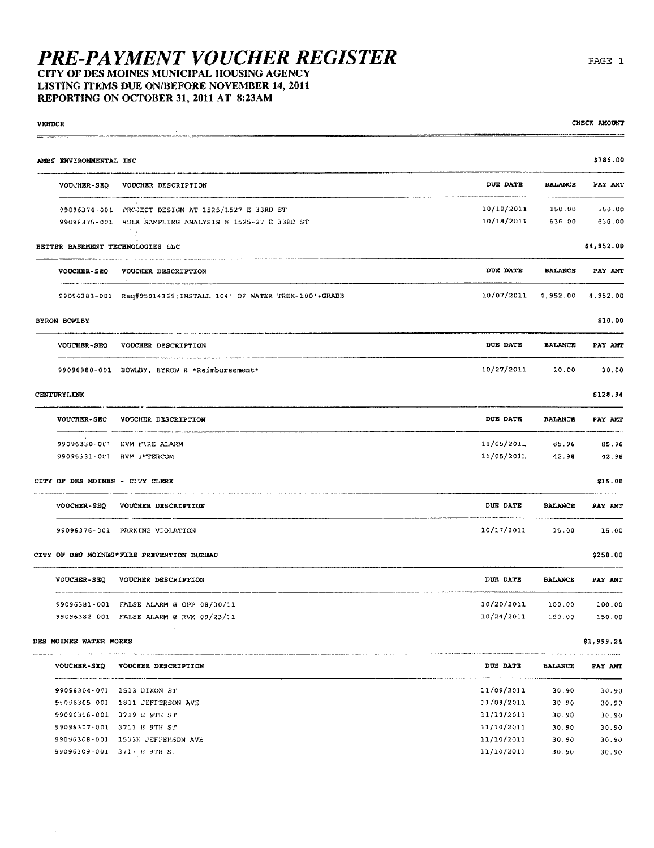CITY OF DES MOINES MUNICIPAL HOUSING AGENCY LISTING ITEMS DUE ON/BEFORE NOVEMBER 14, 2011 REPORTING ON OCTOBER 31, 2011 AT 8:23AM

| <b>VENDOR</b> |                                 |                                                                 |                 |                | CHECK AMOUNT |
|---------------|---------------------------------|-----------------------------------------------------------------|-----------------|----------------|--------------|
|               | AMES ENVIRONMENTAL INC          |                                                                 |                 |                | \$786.00     |
|               | <b>VOUCHER-SEO</b>              | VOUCHER DESCRIPTION                                             | DUE DATE        | <b>BALANCE</b> | PAY AMT      |
|               |                                 | 99096374-001 PROJECT DESIGN AT 1525/1527 E 33RD ST              | 10/19/2011      | 150.00         | 150.00       |
|               |                                 | 99096375-001 HOLK SAMPLING ANALYSIS @ 1525-27 E 33RD ST         | 10/18/2011      | 636.00         | 636.00       |
|               |                                 | BETTER BASEMENT TECHNOLOGIES LLC                                |                 |                | \$4,952.00   |
|               | VOUCHER-SEQ                     | <b>VOUCHER DESCRIPTION</b>                                      | DUE DATE        | BALANCE        | PAY AMT      |
|               |                                 | 99096383-001 Req#95014369;INSTALL 104' OF WATER TREK-100'+GRABB | 10/07/2011      | 4,952.00       | 4,952.00     |
|               | BYRON BOWLBY                    |                                                                 |                 |                | \$10.00      |
|               | VOUCHER-SEQ                     | VOUCHER DESCRIPTION                                             | <b>DUE DATE</b> | <b>BALANCE</b> | PAY AMT      |
|               |                                 | 99096380-001 BOWLBY, BYRON R *Reimbursement*                    | 10/27/2011      | 10.00          | 10.00        |
|               | <b>CENTURYLINK</b>              |                                                                 |                 |                | \$128.94     |
|               | <b>VOUCHER-SEQ</b>              | VOCCHER DESCRIPTION                                             | DUE DATE        | <b>BALANCE</b> | PAY AMT      |
|               |                                 | 99096330-OC1 EVM FIRE ALARM                                     | 11/05/2011      | 85.96          | 85.96        |
|               | 99096531-001 RVM JMTERCOM       |                                                                 | 11/05/2011      | 42.98          | 42.98        |
|               | CITY OF DES MOINES - CITY CLERK |                                                                 |                 |                | \$15.00      |
|               | <b>VOUCHER-SEQ</b>              | VOUCHER DESCRIPTION                                             | DUE DATE        | <b>BALANCE</b> | PAY AMT      |
|               |                                 | 99096376-001 PARKING VIOLATION                                  | 10/17/2011      | 15.00          | 15.00        |
|               |                                 | CITY OF DRS MOINRS*FIRE PREVENTION BUREAU                       |                 |                | \$250.00     |
|               | <b>VOUCHER-SEQ</b>              | VOUCHER DESCRIPTION                                             | DUE DATE        | <b>BALANCE</b> | PAY AMT      |
|               |                                 | 99096381-001 FALSE ALARM @ OPP 08/30/11                         | 10/20/2011      | 100.00         | 100.00       |
|               |                                 | 99096382-001 FALSE ALARM @ RVM 09/23/11.                        | 10/24/2011      | 150.00         | 150.00       |
|               | DES MOINES WATER WORKS          |                                                                 |                 |                | \$1,999.24   |
|               |                                 | VOUCHER-SEQ VOUCHER DESCRIPTION                                 | DUE DATE        | <b>BALANCE</b> | PAY AMT      |
|               | 99096304-001 1513 DIXON ST      |                                                                 | 11/09/2011      | 30.90          | 30.90        |
|               |                                 | 96096305-001 1811 JEFFERSON AVE                                 | 11/09/2011      | 30.90          | 30.90        |
|               | 99096306-001 3719 E 9TH ST      |                                                                 | 11/10/2011      | 30.90          | 30.90        |

99096306-001 3719 E 9TH ST 99096307-001 3711 E 9TH ST 99096308-001 1533E JEFFERSON AVE 99096309-001 3717 E 9TH ST

 $\mathcal{L}$ 

PAGE 1

CHECK AMOUNT

 $11/10/2011$  30.90 30.90  $11/10/2011$   $30.90$   $30.90$ <br> $11/10/2011$   $30.90$   $30.90$ 

 $\sim 10^6$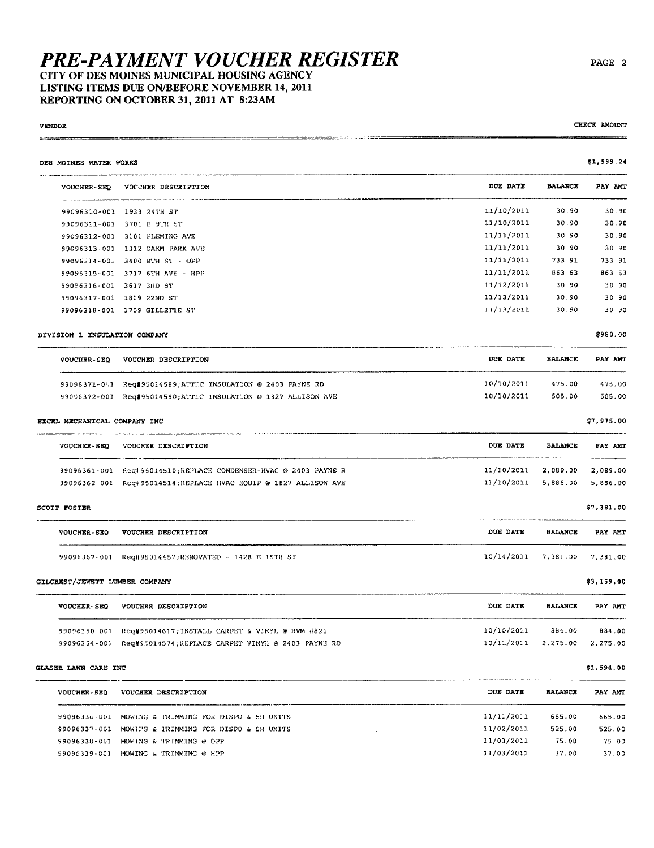#### **PRE-PAYMENT VOUCHER REGISTER** CITY OF DES MOINES MUNICIPAL HOUSING AGENCY LISTING ITEMS DUE ON/BEFORE NOVEMBER 14, 2011 REPORTING ON OCTOBER 31, 2011 AT 8:23AM

#### **VENDOR**  $1.016$  (concentration)

| DES MOINES WATER WORKS         |                                                                  |                 |                | \$1,999.24 |
|--------------------------------|------------------------------------------------------------------|-----------------|----------------|------------|
| <b>VOUCHER-SEQ</b>             | VOUCHER DESCRIPTION                                              | <b>DUE DATE</b> | BALANCE        | PAY AMT    |
|                                | 99096310-001 1933 24TH ST                                        | 11/10/2011      | 30.90          | 30.90      |
|                                | 99096311-001 3701 E 9TH ST                                       | 11/10/2011      | 30.90          | 30.90      |
|                                | 99096312-001 3101 FLEMING AVE                                    | 11/11/2011      | 30.90          | 30.90      |
|                                | 99096313-001 1312 OAKM PARK AVE                                  | 11/11/2011      | 30.90          | 30.90      |
|                                | 99096314-001 3400 8TH ST - OPP                                   | 11/11/2011      | 733.91         | 733.91     |
|                                | 99096315-001 3717 6TH AVE - HPP                                  | 11/11/2011      | 863.63         | 863.63     |
|                                | 99096316-001 3617 3RD ST                                         | 11/12/2011      | 30.90          | 30.90      |
|                                | 99096317-001 1809 22ND ST                                        | 11/13/2011      | 30.90          | 30.90      |
|                                | 99096318-001 1709 GILLETTE ST                                    | 11/13/2011      | 30.90          | 30.90      |
| DIVISION 1 INSULATION COMPANY  |                                                                  |                 |                | \$980.00   |
|                                | VOUCHER-SEQ VOUCHER DESCRIPTION                                  | DUE DATE        | <b>BALANCE</b> | PAY AMT    |
|                                | 99096371-011 Req#95014589;ATTIC INSULATION @ 2403 PAYNE RD       | 10/10/2011      | 475.00         | 475.00     |
|                                | 99096372-001 Req#95014590;ATTIC INSULATION @ 1827 ALLISON AVE    | 10/10/2011      | 505.00         | 505.00     |
| EXCEL MECHANICAL COMPANY INC   |                                                                  |                 |                | \$7,975.00 |
| <b>VOUCHER-SEO</b>             | VOUCHER DESCRIPTION                                              | DUE DATE        | <b>BALANCE</b> | PAY AMT    |
|                                | 99096361-001 Req#95014510;REPLACE CONDENSER-HVAC @ 2403 PAYNE R  | 11/10/2011      | 2,089.00       | 2,089.00   |
|                                | 99096362-001 Req#95014514; REPLACE HVAC EQUIP @ 1827 ALLISON AVE | 11/10/2011      | 5,886.00       | 5,886.00   |
| SCOTT FOSTER                   |                                                                  |                 |                | \$7,381.00 |
| VOUCHER-SEQ                    | VOUCHER DESCRIPTION                                              | DUE DATE        | <b>BALANCE</b> | PAY AMT    |
|                                | 99096367-001 Req#95014457;RENOVATED - 1428 E 15TH ST             | 10/14/2011      | 7,381.00       | 7,381.00   |
| GILCREST/JEWETT LUMBER COMPANY |                                                                  |                 |                | \$3,159,00 |
| <b>VOUCHER-SEQ</b>             | VOUCHER DESCRIPTION                                              | DUE DATE        | <b>BALANCE</b> | PAY AMT    |
|                                | 99096350-001 Req#95014617; INSTALL CARPET & VINYL @ RVM #821     | 10/10/2011      | 884.00         | 884.00     |
|                                | 99096364-001 Req#95014574; REPLACE CARPET VINYL @ 2403 PAYNE RD  | 10/11/2011      | 2,275.00       | 2,275.00   |
| GLASER LAWN CARE INC           |                                                                  |                 |                | \$1,594.00 |
| VOUCHER-SEQ                    | VOUCHER DESCRIPTION                                              | DUE DATE        | <b>BALANCE</b> | PAY AMT    |
|                                | 99096336-001 MOWING & TRIMMING FOR DISPO & 5H UNITS              | 11/11/2011      | 665.00         | 665.00     |
|                                | 99096337-001 MOWIPG & TRIMMING FOR DISPO & 5H UNITS              | 11/02/2011      | 525.00         | 525.00     |
|                                | 99096338-001 MOWING & TRIMMING @ OPP                             | 11/03/2011      | 75.00          | 75.00      |
|                                | 99096339-001 MOWING & TRIMMING @ HPP                             | 11/03/2011      | 37.00          | 37.00      |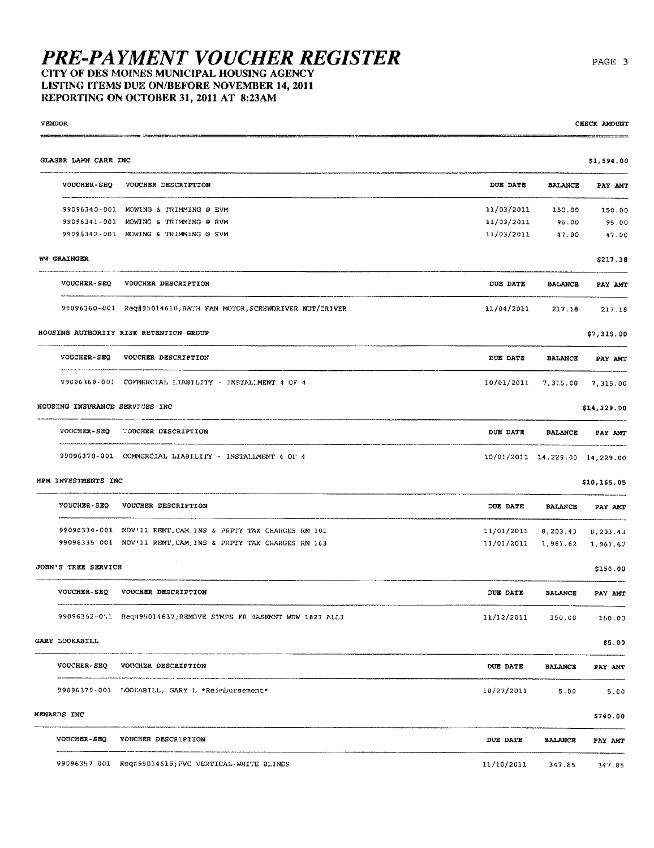CITY OF DES MOINES MUNICIPAL HOUSING AGENCY LISTING ITEMS DUE ON/BEFORE NOVEMBER 14, 2011 REPORTING ON OCTOBER 31, 2011 AT 8:23AM

**VENDOR** 

| GLASER LAWN CARE INC           |                                                                        |                                |                | \$1,594.00  |
|--------------------------------|------------------------------------------------------------------------|--------------------------------|----------------|-------------|
| <b>VOUCHER-SEQ</b>             | VOUCHER DESCRIPTION                                                    | DUE DATE                       | <b>BALANCE</b> | PAY AMT     |
|                                | 99096340-001 MOWING & TRIMMING @ EVM                                   | 11/03/2011                     | 150.00         | 150.00      |
|                                | 99096341-001 MOWING & TRIMMING @ RVM                                   | 11/03/2011                     | 95.00          | 95.00       |
|                                | 99096342-001 MOWING & TRIMMING @ SVM                                   | 11/03/2011                     | 47.00          | 47.00       |
| WW GRAINGER                    |                                                                        |                                |                | \$217.18    |
|                                | VOUCHER-SEQ VOUCHER DESCRIPTION                                        | DUE DATE                       | <b>BALANCE</b> | PAY AMT     |
|                                | 99096360-001 Req#95014610.BATH FAN MOTOR, SCREWDRIVER NUT/DRIVER       | 11/04/2011                     | 217.18         | 217.18      |
|                                | HOUSING AUTHORITY RISK RETENTION GROUP                                 |                                |                | \$7,315.00  |
| <b>VOUCHER-SEQ</b>             | VOUCHER DESCRIPTION                                                    | <b>DUE DATE</b>                | <b>BALANCE</b> | PAY AMT     |
|                                | 99096369-001 COMMERCIAL LIABILITY - INSTALLMENT 4 OF 4                 | $10/01/2011$ 7,315.00          |                | 7,315.00    |
| HOUSING INSURANCE SERVICES INC |                                                                        |                                |                | \$14,229.00 |
|                                | VOUCHER-SEQ VOUCHER DESCRIPTION                                        | DUE DATE                       | BALANCE        | PAY AMT     |
|                                | 99096370-001 COMMERCIAL LIABILITY - INSTALLMENT 4 OF 4                 | 10/01/2011 14,229.00 14,229.00 |                |             |
| HPM INVESTMENTS INC            |                                                                        |                                |                | \$10,165.05 |
| VOUCHER-SEQ                    | VOUCHER DESCRIPTION                                                    | DUE DATE                       | <b>BALANCE</b> | PAY AMT     |
|                                | 99096334-001 NOV'11 RENT, CAM, INS & PRPTY TAX CHARGES RM 101          | 11/01/2011                     | 8,203.43       | 8,203.43    |
|                                | 99096335-001 NOV'11 RENT, CAM, INS & PRPTY TAX CHARGES RM 163          | 11/01/2011                     | 1,961.62       | 1,961,62    |
| JOHN'S TREE SERVICE            |                                                                        |                                |                | \$150.00    |
|                                | VOUCHER-SEQ VOUCHER DESCRIPTION                                        | DUE DATE                       | <b>BALANCE</b> | PAY AMT     |
|                                | 99096352-0.1 Req#95014637;REMOVE STMPS FR BASEMNT WDW 1827 ALLI        | 11/12/2011                     | 150.00         | 150.00      |
| GARY LOOKABILL                 |                                                                        |                                |                | \$5.00      |
|                                | wramawers provided and make concern<br>VOUCHER-SEQ VOUCHER DESCRIPTION | <b>DUE DATE</b>                | <b>BALANCE</b> | PAY AMT     |
|                                | 99096379-001 LOOKABILL, GARY L *Reimbursement*                         | 10/27/2011                     | 5.00           | 5.00        |
| MENARDS INC                    |                                                                        |                                |                | \$740.00    |
|                                | VOUCHER-SEQ VOUCHER DESCRIPTION                                        | DUE DATE                       | <b>BALANCE</b> | PAY ANT     |
|                                | 99096357-001 Req#95014619; PVC VERTICAL-WHITE BLINDS                   | 11/10/2011                     | 347.85         | 347.85      |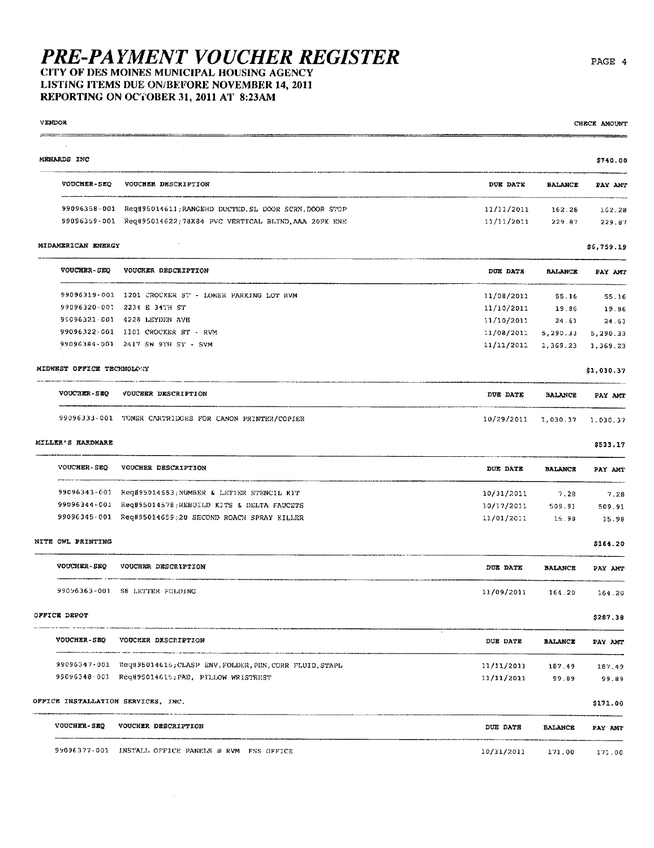### CITY OF DES MOINES MUNICIPAL HOUSING AGENCY LISTING ITEMS DUE ON/BEFORE NOVEMBER 14, 2011

REPORTING ON OCTOBER 31, 2011 AT 8:23AM

VENDOR

| VENDOR                             |                                                                      |                 |                | CHECK AMOUNT |
|------------------------------------|----------------------------------------------------------------------|-----------------|----------------|--------------|
|                                    |                                                                      |                 |                |              |
| MENARDS INC                        |                                                                      |                 |                | \$740.00     |
| <b>VOUCHER-SEQ</b>                 | VOUCHER DESCRIPTION                                                  | DUE DATE        | <b>BALANCE</b> | PAY AMT      |
| 99096358-001                       | Reg#95014611;RANGEHD DUCTED, SL DOOR SCRN, DOOR STOP                 | 11/11/2011      | 162.28         | 162.28       |
|                                    | 99096359-001 Req#95014622;78X84 PVC VERTICAL BLIND, AAA 20PK ENE     | 11/11/2011      | 229.87         | 229.87       |
| MIDAMERICAN ENERGY                 |                                                                      |                 |                | \$6,759.19   |
| VOUCHER-SEQ                        | VOUCHER DESCRIPTION                                                  | DUE DATE        | <b>BALANCE</b> | PAY AMT      |
|                                    | 99096319-001 1201 CROCKER ST - LOWER PARKING LOT RVM                 | 11/08/2011      | 55.16          | 55.16        |
| 99096320-001                       | 2234 E 34TH ST                                                       | 11/10/2011      | 19.86          | 19.86        |
|                                    | 95096321-001 4228 LEYDEN AVE                                         | 11/10/2011      | 24.61          | 24.61        |
|                                    | 99096322-001 1101 CROCKER ST - RVM                                   | 11/08/2011      | 5,290.33       | 5,290.33     |
|                                    | 99096384-001 2417 SW 9TH ST - SVM                                    | 11/11/2011      | 1,369.23       | 1,369.23     |
| MIDWEST OFFICE TECHNOLOGY          |                                                                      |                 |                | \$1,030.37   |
| <b>VOUCHER-SEQ</b>                 | VOUCHER DESCRIPTION                                                  | DUE DATE        | <b>BALANCE</b> | PAY AMT      |
|                                    | 99096333-001 TONER CARTRIDGES FOR CANON PRINTER/COPIER               | 10/29/2011      | 1,030.37       | 1,030.37     |
| MILLER'S HARDWARE                  |                                                                      |                 |                | \$533.17     |
| <b>VOUCHER-SEQ</b>                 | VOUCHER DESCRIPTION                                                  | DUE DATE        | <b>BALANCE</b> | PAY AMT      |
| 99096343~001                       | Req#95014653;NUMBER & LETTER STENCIL KIT                             | 10/31/2011      | 7.28           | 7.28         |
| 99096344-001                       | Req#95014578;REBUILD KITS & DELTA FAUCETS                            | 10/17/2011      | 509.91         | 509.91       |
|                                    | 99096345-001 Req#95014659;20 SECOND ROACH SPRAY KILLER               | 11/01/2011      | 15.98          | 15.98        |
| NITE OWL PRINTING                  |                                                                      |                 |                | \$164.20     |
| VOUCHER-SEQ                        | VOUCHER DESCRIPTION                                                  | DUE DATE        | <b>BALANCE</b> | PAY AMT      |
| 99096363-001                       | S8 LETTER FOLDING                                                    | 11/09/2011      | 164.20         | 164.20       |
| OFFICE DEPOT                       |                                                                      |                 |                | \$287.38     |
| VOUCHER-SEQ                        | VOUCHER DESCRIPTION                                                  | <b>DUE DATE</b> | <b>BALANCE</b> | PAY ANT      |
|                                    | 99096347-001 Req#95014615; CLASP ENV, FOLDER, PEN, CORR FLUID, STAPL | 11/11/2011      | 187.49         | 187.49       |
|                                    | 99096348-001 Req#95014615; PAD, PILLOW WRISTREST                     | 11/11/2011      | 99.89          | 99.89        |
| OFFICE INSTALLATION SERVICES, INC. |                                                                      |                 |                | \$171.00     |
| <b>VOUCHER-SEQ</b>                 | VOUCHER DESCRIPTION                                                  | DUE DATE        | BALANCE        | PAY AMT      |
|                                    | 99096377-001 INSTALL OFFICE PANELS @ RVM FSS OFFICE                  | 10/31/2011      | 171.00         | 171.00       |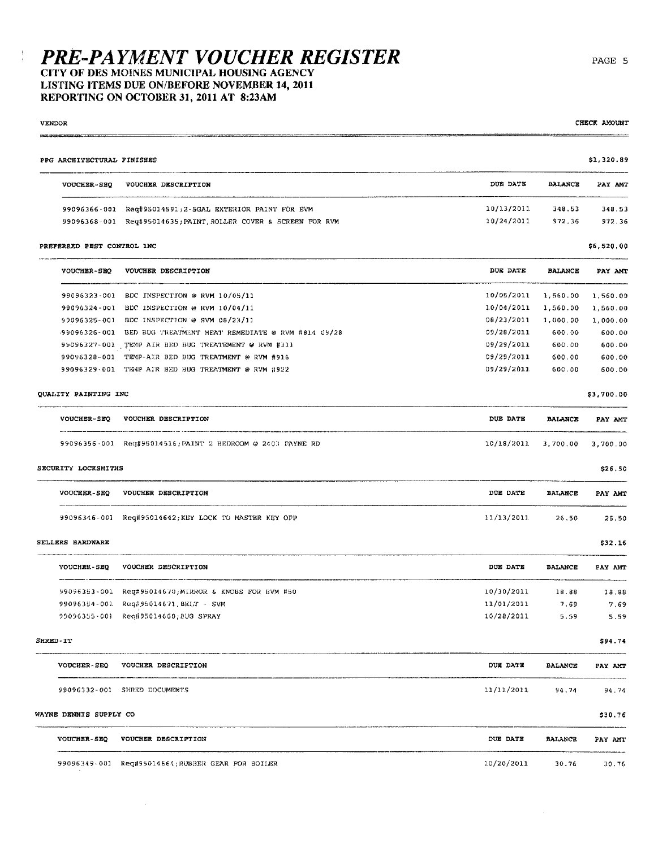#### CITY OF DES MOINES MUNICIPAL HOUSING AGENCY LISTING ITEMS DUE ON/BEFORE NOVEMBER 14, 2011 REPORTING ON OCTOBER 31, 2011 AT 8:23AM

 $\alpha$ 

 $\frac{1}{2}$ 

**VENDOR** 

| PPG ARCHITECTURAL FINISHES |                                                                 |            |                | \$1,320.89 |
|----------------------------|-----------------------------------------------------------------|------------|----------------|------------|
| VOUCHER-SEQ                | VOUCHER DESCRIPTION                                             | DUE DATE   | BALANCE        | PAY AMT    |
|                            | 99096366-001 Req#95014591;2-5GAL EXTERIOR PAINT FOR EVM         | 10/13/2011 | 348.53         | 348.53     |
|                            | 99096368-001 Req#95014635; PAINT, ROLLER COVER & SCREEN FOR RVM | 10/24/2011 | 972.36         | 972.36     |
| PREFERRED PEST CONTROL INC |                                                                 |            |                | \$6,520,00 |
| <b>VOUCHER-SEQ</b>         | VOUCHER DESCRIPTION                                             | DUE DATE   | <b>BALANCE</b> | PAY AMT    |
|                            | 99096323-001 BDC INSPECTION @ RVM 10/05/11                      | 10/05/2011 | 1,560.00       | 1,560.00   |
|                            | 99096324-001 BDC INSPECTION @ RVM 10/04/11                      | 10/01/2011 | 1,560.00       | 1,560.00   |
|                            | 90096325-001 BDC INSPECTION @ SVM 08/23/11                      | 08/23/2011 | 1,000.00       | 1,000.00   |
|                            | 99096326-001 BED BUG TREATMENT HEAT REMEDIATE @ RVM #814 09/28  | 09/28/2011 | 600.00         | 600.00     |
|                            | 99096327-001 TEMP AIR BED BUG TREATEMENT @ RVM #311             | 09/29/2011 | 600.00         | 600.00     |
| 99096328-001               | TEMP-AIR BED BUG TREATMENT @ RVM #916                           | 09/29/2011 | 600.00         | 600.00     |
|                            | 99096329-001 TEMP AIR BED BUG TREATMENT @ RVM #922              | 09/29/2011 | 600.00         | 600.00     |
| QUALITY PAINTING INC       |                                                                 |            |                | \$3,700.00 |
| VOUCHER-SEQ                | VOUCHER DESCRIPTION                                             | DUE DATE   | BALANCE        | PAY AMT    |
|                            | 99096356-001 Req#95014516; PAINT 2 BEDROOM @ 2403 PAYNE RD      | 10/18/2011 | 3,700.00       | 3,700.00   |
| SECURITY LOCKSMITHS        |                                                                 |            |                | \$26.50    |
| <b>VOUCHER-SEQ</b>         | VOUCHER DESCRIPTION                                             | DUE DATE   | <b>BALANCE</b> | PAY AMT    |
|                            | 99096346-001 Reg#95014642; KEY LOCK TO MASTER KEY OPP           | 11/13/2011 | 26,50          | 26.50      |
| SELLERS HARDWARE           |                                                                 |            |                | \$32.16    |
| <b>VOUCHER-SEQ</b>         | VOUCHER DESCRIPTION                                             | DUE DATE   | <b>BALANCE</b> | PAY AMT    |
| 99096353-001               | Reg#95014670;MIRROR & KNOBS FOR EVM #50                         | 10/30/2011 | 18.88          | 18.88      |
|                            | 99096354-001 Req#95014671, BELT - SVM                           | 11/01/2011 | 7.69           | 7.69       |
|                            | 99096355-001 Req#95014660;BUG SPRAY                             | 10/28/2011 | 5.59           | 5.59       |
| <b>SHRED-IT</b>            |                                                                 |            |                | \$94.74    |
|                            | VOUCHER-SEQ VOUCHER DESCRIPTION                                 | DUX DATE   | BALANCE        | PAY AMT    |
|                            | 99096332-001 SHRED DOCUMENTS                                    | 11/11/2011 | 94.74          | 94.74      |
| WAYNE DENNIS SUPPLY CO     |                                                                 |            |                | \$30.76    |
| <b>VOUCHER-SEQ</b>         | VOUCHER DESCRIPTION                                             | DUE DATE   | <b>BALANCE</b> | PAY AMT    |
|                            | 99096349-001 Req#95014664;RUBBER GEAR FOR BOILER                | 10/20/2011 | 30.76          | 30.76      |